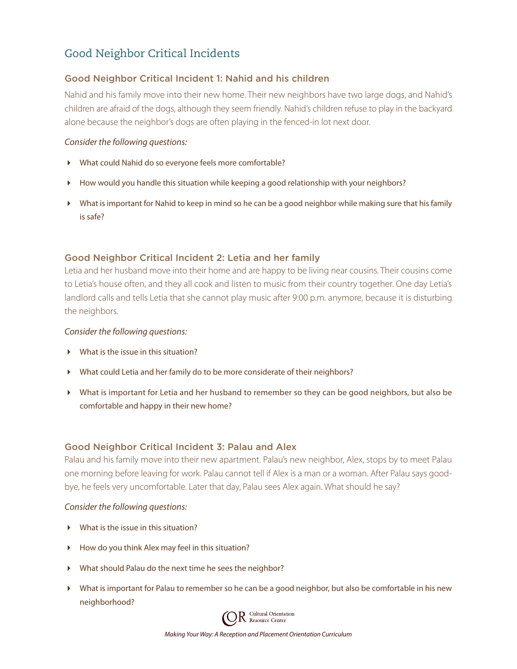# Good Neighbor Critical Incidents

# Good Neighbor Critical Incident 1: Nahid and his children

Nahid and his family move into their new home. Their new neighbors have two large dogs, and Nahid's children are afraid of the dogs, although they seem friendly. Nahid's children refuse to play in the backyard alone because the neighbor's dogs are often playing in the fenced-in lot next door.

#### *Consider the following questions:*

- What could Nahid do so everyone feels more comfortable?
- $\blacktriangleright$  How would you handle this situation while keeping a good relationship with your neighbors?
- What is important for Nahid to keep in mind so he can be a good neighbor while making sure that his family is safe?

# Good Neighbor Critical Incident 2: Letia and her family

Letia and her husband move into their home and are happy to be living near cousins. Their cousins come to Letia's house often, and they all cook and listen to music from their country together. One day Letia's landlord calls and tells Letia that she cannot play music after 9:00 p.m. anymore, because it is disturbing the neighbors.

#### *Consider the following questions:*

- $\blacktriangleright$  What is the issue in this situation?
- What could Letia and her family do to be more considerate of their neighbors?
- What is important for Letia and her husband to remember so they can be good neighbors, but also be comfortable and happy in their new home?

## Good Neighbor Critical Incident 3: Palau and Alex

Palau and his family move into their new apartment. Palau's new neighbor, Alex, stops by to meet Palau one morning before leaving for work. Palau cannot tell if Alex is a man or a woman. After Palau says goodbye, he feels very uncomfortable. Later that day, Palau sees Alex again. What should he say?

#### *Consider the following questions:*

- What is the issue in this situation?
- How do you think Alex may feel in this situation?
- What should Palau do the next time he sees the neighbor?
- What is important for Palau to remember so he can be a good neighbor, but also be comfortable in his new neighborhood?

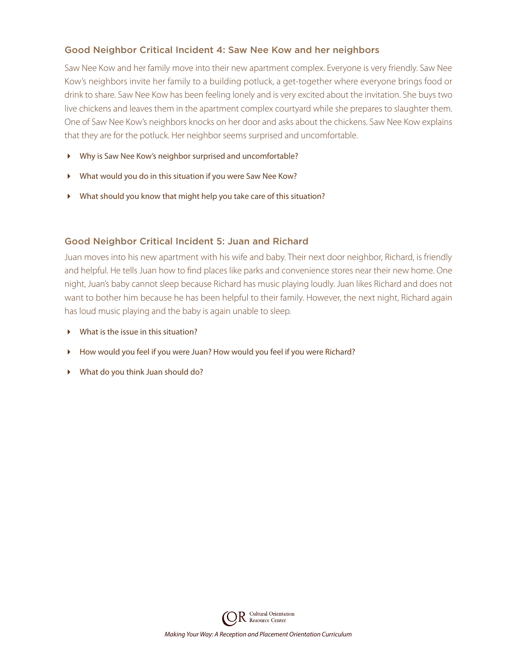# Good Neighbor Critical Incident 4: Saw Nee Kow and her neighbors

Saw Nee Kow and her family move into their new apartment complex. Everyone is very friendly. Saw Nee Kow's neighbors invite her family to a building potluck, a get-together where everyone brings food or drink to share. Saw Nee Kow has been feeling lonely and is very excited about the invitation. She buys two live chickens and leaves them in the apartment complex courtyard while she prepares to slaughter them. One of Saw Nee Kow's neighbors knocks on her door and asks about the chickens. Saw Nee Kow explains that they are for the potluck. Her neighbor seems surprised and uncomfortable.

- Why is Saw Nee Kow's neighbor surprised and uncomfortable?
- What would you do in this situation if you were Saw Nee Kow?
- What should you know that might help you take care of this situation?

## Good Neighbor Critical Incident 5: Juan and Richard

Juan moves into his new apartment with his wife and baby. Their next door neighbor, Richard, is friendly and helpful. He tells Juan how to find places like parks and convenience stores near their new home. One night, Juan's baby cannot sleep because Richard has music playing loudly. Juan likes Richard and does not want to bother him because he has been helpful to their family. However, the next night, Richard again has loud music playing and the baby is again unable to sleep.

- What is the issue in this situation?
- How would you feel if you were Juan? How would you feel if you were Richard?
- What do you think Juan should do?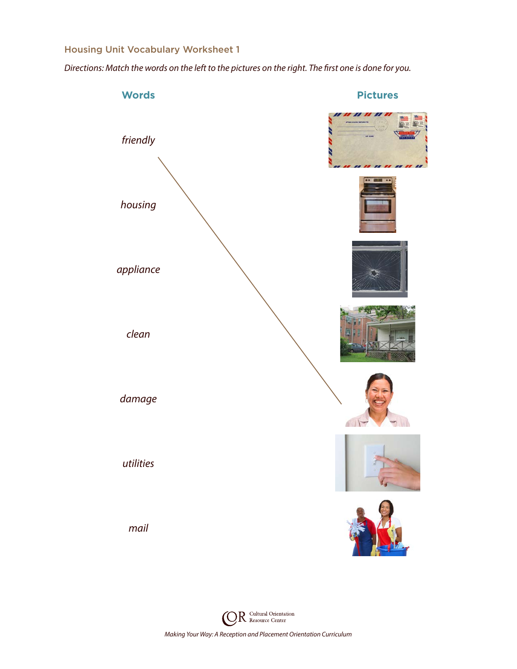# Housing Unit Vocabulary Worksheet 1

*Directions: Match the words on the left to the pictures on the right. The first one is done for you.*